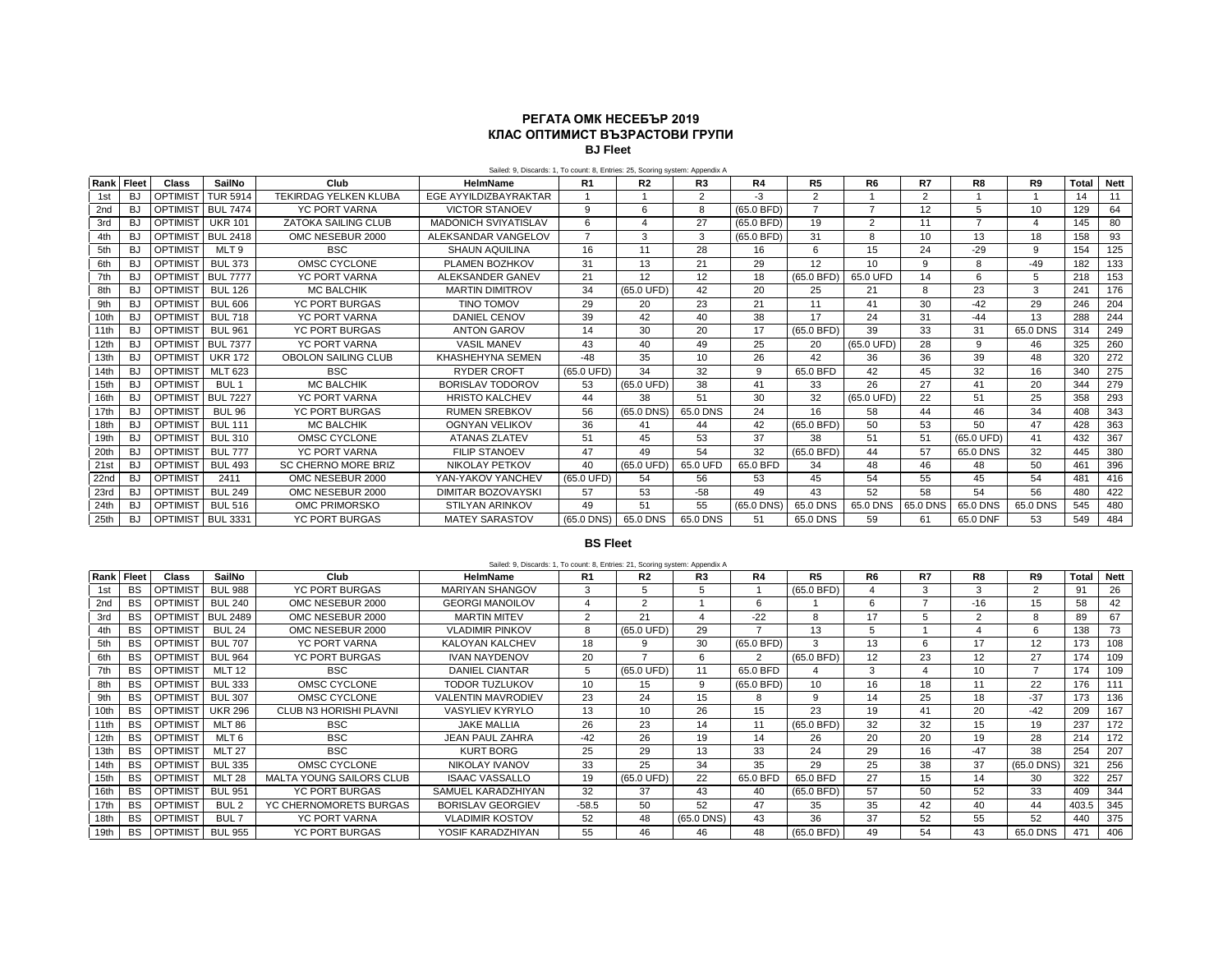## **РЕГАТА ОМК НЕСЕБЪР 2019 КЛАС ОПТИМИСТ ВЪЗРАСТОВИ ГРУПИ BJ Fleet**

| Rank | <b>Fleet</b> | Class           | SailNo           | Club                         | HelmName                    | R <sub>1</sub>       | R2              | R3       | R4           | R5             | R6              | R7       | R8         | R9       | <b>Total</b> | <b>Nett</b> |
|------|--------------|-----------------|------------------|------------------------------|-----------------------------|----------------------|-----------------|----------|--------------|----------------|-----------------|----------|------------|----------|--------------|-------------|
| 1st  | BJ           | <b>OPTIMIST</b> | <b>TUR 5914</b>  | <b>TEKIRDAG YELKEN KLUBA</b> | EGE AYYILDIZBAYRAKTAR       |                      |                 | 2        | $-3$         | 2              |                 | 2        |            |          | 14           | 11          |
| 2nd  | BJ           | <b>OPTIMIST</b> | <b>BUL 7474</b>  | <b>YC PORT VARNA</b>         | <b>VICTOR STANOEV</b>       | 9                    | 6               | 8        | (65.0 BFD)   | $\overline{ }$ |                 | 12       | 5          | 10       | 129          | 64          |
| 3rd  | BJ           | <b>OPTIMIST</b> | <b>UKR 101</b>   | <b>ZATOKA SAILING CLUB</b>   | <b>MADONICH SVIYATISLAV</b> | 6                    |                 | 27       | $(65.0$ BFD) | 19             | $\overline{2}$  | 11       |            |          | 145          | 80          |
| 4th  | <b>BJ</b>    | <b>OPTIMIST</b> | <b>BUL 2418</b>  | OMC NESEBUR 2000             | ALEKSANDAR VANGELOV         | $\overline{ }$       | 3               | 3        | (65.0 BFD)   | 31             | 8               | 10       | 13         | 18       | 158          | 93          |
| 5th  | <b>BJ</b>    | <b>OPTIMIST</b> | MLT 9            | <b>BSC</b>                   | <b>SHAUN AQUILINA</b>       | 16                   | 11              | 28       | 16           | 6              | 15              | 24       | $-29$      | 9        | 154          | 125         |
| 6th  | BJ           | <b>OPTIMIST</b> | <b>BUL 373</b>   | OMSC CYCLONE                 | PLAMEN BOZHKOV              | 31                   | 13              | 21       | 29           | 12             | 10 <sup>1</sup> | $\alpha$ | 8          | $-49$    | 182          | 133         |
| 7th  | <b>BJ</b>    | OPTIMIST        | <b>BUL 7777</b>  | <b>YC PORT VARNA</b>         | ALEKSANDER GANEV            | 21                   | 12              | 12       | 18           | (65.0 BFD)     | 65.0 UFD        | 14       | 6          | 5        | 218          | 153         |
| 8th  | <b>BJ</b>    | <b>OPTIMIST</b> | <b>BUL 126</b>   | <b>MC BALCHIK</b>            | <b>MARTIN DIMITROV</b>      | 34                   | (65.0 UFD)      | 42       | 20           | 25             | 21              | R        | 23         | 3        | 241          | 176         |
| 9th  | BJ           | <b>OPTIMIST</b> | <b>BUL 606</b>   | <b>YC PORT BURGAS</b>        | TINO TOMOV                  | 29                   | 20              | 23       | 21           | 11             | 41              | 30       | $-42$      | 29       | 246          | 204         |
| 10th | BJ           | <b>OPTIMIST</b> | <b>BUL 718</b>   | <b>YC PORT VARNA</b>         | <b>DANIEL CENOV</b>         | 39                   | 42              | 40       | 38           | 17             | 24              | 31       | $-44$      | 13       | 288          | 244         |
| 11th | <b>BJ</b>    | <b>OPTIMIST</b> | <b>BUL 961</b>   | <b>YC PORT BURGAS</b>        | <b>ANTON GAROV</b>          | 14                   | 30              | 20       | 17           | $(65.0$ BFD)   | 39              | 33       | 31         | 65.0 DNS | 314          | 249         |
| 12th | <b>BJ</b>    | <b>OPTIMIST</b> | <b>BUL 7377</b>  | <b>YC PORT VARNA</b>         | <b>VASIL MANEV</b>          | 43                   | 40              | 49       | 25           | 20             | (65.0 UFD)      | 28       | q          | 46       | 325          | 260         |
| 13th | BJ           | <b>OPTIMIST</b> | <b>UKR 172</b>   | <b>OBOLON SAILING CLUB</b>   | KHASHEHYNA SEMEN            | -48                  | 35              | 10       | 26           | 42             | 36              | 36       | 39         | 48       | 320          | 272         |
| 14th | BJ           | <b>OPTIMIST</b> | <b>MLT 623</b>   | <b>BSC</b>                   | <b>RYDER CROFT</b>          | (65.0 UFD)           | 34              | 32       | 9            | 65.0 BFD       | 42              | 45       | 32         | 16       | 340          | 275         |
| 15th | <b>BJ</b>    | <b>OPTIMIST</b> | BUL <sub>1</sub> | <b>MC BALCHIK</b>            | BORISLAV TODOROV            | 53                   | (65.0 UFD)      | 38       | 41           | 33             | 26              | 27       | 41         | 20       | 344          | 279         |
| 16th | BJ.          | OPTIMIST        | <b>BUL 7227</b>  | <b>YC PORT VARNA</b>         | <b>HRISTO KALCHEV</b>       | 44                   | 38              | 51       | 30           | 32             | (65.0 UFD)      | 22       | 51         | 25       | 358          | 293         |
| 17th | <b>BJ</b>    | <b>OPTIMIST</b> | <b>BUL 96</b>    | <b>YC PORT BURGAS</b>        | <b>RUMEN SREBKOV</b>        | 56                   | $(65.0$ DNS $)$ | 65.0 DNS | 24           | 16             | 58              | 44       | 46         | 34       | 408          | 343         |
| 18th | <b>BJ</b>    | <b>OPTIMIST</b> | <b>BUL 111</b>   | <b>MC BALCHIK</b>            | <b>OGNYAN VELIKOV</b>       | 36                   | 41              | 44       | 42           | (65.0 BFD)     | 50              | 53       | 50         | 47       | 428          | 363         |
| 19th | BJ           | <b>OPTIMIST</b> | <b>BUL 310</b>   | OMSC CYCLONE                 | <b>ATANAS ZLATEV</b>        | 51                   | 45              | 53       | 37           | 38             | 51              | 51       | (65.0 UFD) | 41       | 432          | 367         |
| 20th | BJ           | <b>OPTIMIST</b> | <b>BUL 777</b>   | <b>YC PORT VARNA</b>         | <b>FILIP STANOEV</b>        | 47                   | 49              | 54       | 32           | $(65.0$ BFD)   | 44              | 57       | 65.0 DNS   | 32       | 445          | 380         |
| 21st | BJ           | <b>OPTIMIST</b> | <b>BUL 493</b>   | SC CHERNO MORE BRIZ          | NIKOLAY PETKOV              | 40                   | (65.0 UFD)      | 65.0 UFD | 65.0 BFD     | 34             | 48              | 46       | 48         | 50       | 461          | 396         |
| 22nd | BJ           | <b>OPTIMIST</b> | 2411             | OMC NESEBUR 2000             | YAN-YAKOV YANCHEV           | $(65.0 \text{ UFD})$ | 54              | 56       | 53           | 45             | 54              | 55       | 45         | 54       | 481          | 416         |
| 23rd | BJ           | <b>OPTIMIST</b> | <b>BUL 249</b>   | OMC NESEBUR 2000             | <b>DIMITAR BOZOVAYSKI</b>   | 57                   | 53              | $-58$    | 49           | 43             | 52              | 58       | 54         | 56       | 480          | 422         |
| 24th | <b>BJ</b>    | <b>OPTIMIST</b> | <b>BUL 516</b>   | OMC PRIMORSKO                | <b>STILYAN ARINKOV</b>      | 49                   | 51              | 55       | $(65.0$ DNS) | 65.0 DNS       | 65.0 DNS        | 65.0 DNS | 65.0 DNS   | 65.0 DNS | 545          | 480         |
| 25th | BJ           | OPTIMIST        | <b>BUL 3331</b>  | <b>YC PORT BURGAS</b>        | <b>MATEY SARASTOV</b>       | $(65.0$ DNS)         | 65.0 DNS        | 65.0 DNS | 51           | 65.0 DNS       | 59              | 61       | 65.0 DNF   | 53       | 549          | 484         |

## **BS Fleet**

|                   |           |                 |                  |                                 | Sailed: 9, Discards: 1, To count: 8, Entries: 21, Scoring system: Appendix A |                |                      |                 |              |                |                |    |                 |               |              |             |
|-------------------|-----------|-----------------|------------------|---------------------------------|------------------------------------------------------------------------------|----------------|----------------------|-----------------|--------------|----------------|----------------|----|-----------------|---------------|--------------|-------------|
| <b>Rank Fleet</b> |           | Class           | SailNo           | Club                            | HelmName                                                                     | R <sub>1</sub> | R2                   | R <sub>3</sub>  | R4           | R <sub>5</sub> | R <sub>6</sub> | R7 | R8              | R9            | <b>Total</b> | <b>Nett</b> |
| 1st               | <b>BS</b> | <b>OPTIMIST</b> | <b>BUL 988</b>   | <b>YC PORT BURGAS</b>           | <b>MARIYAN SHANGOV</b>                                                       | 3              |                      |                 |              | $(65.0$ BFD)   |                | 3  | з               | $\mathcal{P}$ | 91           | 26          |
| 2nd               | <b>BS</b> | <b>OPTIMIST</b> | <b>BUL 240</b>   | OMC NESEBUR 2000                | <b>GEORGI MANOILOV</b>                                                       |                | ◠                    |                 | 6            |                | 6              |    | $-16$           | 15            | 58           | 42          |
| 3rd               | <b>BS</b> | <b>OPTIMIST</b> | <b>BUL 2489</b>  | OMC NESEBUR 2000                | <b>MARTIN MITEV</b>                                                          | 2              | 21                   |                 | $-22$        | 8              | 17             |    | 2               | 8             | 89           | 67          |
| 4th               | <b>BS</b> | <b>OPTIMIST</b> | <b>BUL 24</b>    | OMC NESEBUR 2000                | <b>VLADIMIR PINKOV</b>                                                       | 8              | $(65.0 \text{ UFD})$ | 29              |              | 13             |                |    |                 | 6             | 138          | 73          |
| 5th               | <b>BS</b> | <b>OPTIMIST</b> | <b>BUL 707</b>   | YC PORT VARNA                   | <b>KALOYAN KALCHEV</b>                                                       | 18             | 9                    | 30              | $(65.0$ BFD) | 3              | 13             | 6  | 17              | 12            | 173          | 108         |
| 6th               | <b>BS</b> | <b>OPTIMIST</b> | <b>BUL 964</b>   | <b>YC PORT BURGAS</b>           | <b>IVAN NAYDENOV</b>                                                         | 20             |                      | 6               | 2            | $(65.0$ BFD)   | 12             | 23 | 12              | 27            | 174          | 109         |
| 7th               | <b>BS</b> | <b>OPTIMIST</b> | <b>MLT 12</b>    | <b>BSC</b>                      | <b>DANIEL CIANTAR</b>                                                        | 5              | (65.0 UFD)           | 11              | 65.0 BFD     |                | 3              |    | 10 <sup>1</sup> |               | 174          | 109         |
| 8th               | <b>BS</b> | <b>OPTIMIST</b> | <b>BUL 333</b>   | OMSC CYCLONE                    | <b>TODOR TUZLUKOV</b>                                                        | 10             | 15                   | 9               | $(65.0$ BFD) | 10             | 16             | 18 | 11              | 22            | 176          | 111         |
| 9th               | <b>BS</b> | <b>OPTIMIST</b> | <b>BUL 307</b>   | OMSC CYCLONE                    | <b>VALENTIN MAVRODIEV</b>                                                    | 23             | 24                   | 15              |              | 9              | 14             | 25 | 18              | $-37$         | 173          | 136         |
| 10th              | <b>BS</b> | <b>OPTIMIST</b> | <b>UKR 296</b>   | <b>CLUB N3 HORISHI PLAVNI</b>   | VASYLIEV KYRYLO                                                              | 13             | 10 <sup>1</sup>      | 26              | 15           | 23             | 19             | 41 | 20              | $-42$         | 209          | 167         |
| 11th              | <b>BS</b> | <b>OPTIMIST</b> | <b>MLT 86</b>    | <b>BSC</b>                      | <b>JAKE MALLIA</b>                                                           | 26             | 23                   | 14              | 11           | $(65.0$ BFD)   | 32             | 32 | 15              | 19            | 237          | 172         |
| 12th              | <b>BS</b> | <b>OPTIMIST</b> | MLT 6            | <b>BSC</b>                      | <b>JEAN PAUL ZAHRA</b>                                                       | $-42$          | 26                   | 19              | 14           | 26             | 20             | 20 | 19              | 28            | 214          | 172         |
| 13th              | <b>BS</b> | <b>OPTIMIST</b> | <b>MLT 27</b>    | <b>BSC</b>                      | <b>KURT BORG</b>                                                             | 25             | 29                   | 13              | 33           | 24             | 29             | 16 | $-47$           | 38            | 254          | 207         |
| 14th              | <b>BS</b> | OPTIMIST        | <b>BUL 335</b>   | OMSC CYCLONE                    | NIKOLAY IVANOV                                                               | 33             | 25                   | 34              | 35           | 29             | 25             | 38 | 37              | $(65.0$ DNS)  | 321          | 256         |
| 15th              | <b>BS</b> | <b>OPTIMIST</b> | <b>MLT 28</b>    | <b>MALTA YOUNG SAILORS CLUB</b> | <b>ISAAC VASSALLO</b>                                                        | 19             | $(65.0 \text{ UFD})$ | 22              | 65.0 BFD     | 65.0 BFD       | 27             | 15 | 14              | 30            | 322          | 257         |
| 16th              | <b>BS</b> | <b>OPTIMIST</b> | <b>BUL 951</b>   | <b>YC PORT BURGAS</b>           | SAMUEL KARADZHIYAN                                                           | 32             | 37                   | 43              | 40           | $(65.0$ BFD)   | 57             | 50 | 52              | 33            | 409          | 344         |
| 17th              | <b>BS</b> | <b>OPTIMIST</b> | BUL <sub>2</sub> | YC CHERNOMORETS BURGAS          | <b>BORISLAV GEORGIEV</b>                                                     | $-58.5$        | 50                   | 52              | 47           | 35             | 35             | 42 | 40              | 44            | 403.5        | 345         |
| 18th              | <b>BS</b> | <b>OPTIMIST</b> | BUL <sub>7</sub> | YC PORT VARNA                   | <b>VLADIMIR KOSTOV</b>                                                       | 52             | 48                   | $(65.0$ DNS $)$ | 43           | 36             | 37             | 52 | 55              | 52            | 440          | 375         |
| 19th              | <b>BS</b> | <b>OPTIMIST</b> | <b>BUL 955</b>   | <b>YC PORT BURGAS</b>           | YOSIF KARADZHIYAN                                                            | 55             | 46                   | 46              | 48           | $(65.0$ BFD)   | 49             | 54 | 43              | 65.0 DNS      | 471          | 406         |